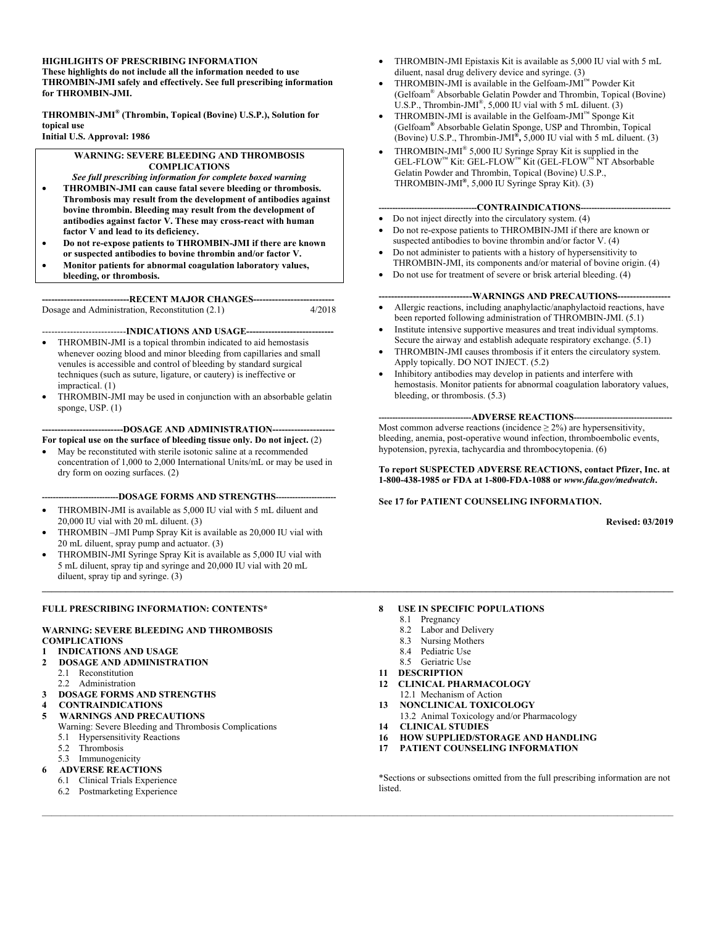#### **HIGHLIGHTS OF PRESCRIBING INFORMATION**

**These highlights do not include all the information needed to use THROMBIN-JMI safely and effectively. See full prescribing information for THROMBIN-JMI.** 

**THROMBIN-JMI® (Thrombin, Topical (Bovine) U.S.P.), Solution for topical use Initial U.S. Approval: 1986** 

#### **WARNING: SEVERE BLEEDING AND THROMBOSIS COMPLICATIONS**

- *See full prescribing information for complete boxed warning* • **THROMBIN-JMI can cause fatal severe bleeding or thrombosis. Thrombosis may result from the development of antibodies against bovine thrombin. Bleeding may result from the development of antibodies against factor V. These may cross-react with human factor V and lead to its deficiency.**
- **Do not re-expose patients to THROMBIN-JMI if there are known or suspected antibodies to bovine thrombin and/or factor V.**
- **Monitor patients for abnormal coagulation laboratory values,**
- **bleeding, or thrombosis.**

**----------------------------RECENT MAJOR CHANGES--------------------------**  Dosage and Administration, Reconstitution (2.1)

#### ---------------------------**INDICATIONS AND USAGE----------------------------**

- THROMBIN-JMI is a topical thrombin indicated to aid hemostasis whenever oozing blood and minor bleeding from capillaries and small venules is accessible and control of bleeding by standard surgical techniques (such as suture, ligature, or cautery) is ineffective or impractical. (1)
- THROMBIN-JMI may be used in conjunction with an absorbable gelatin sponge, USP. (1)

#### --DOSAGE AND ADMINISTRATION---

- **For topical use on the surface of bleeding tissue only. Do not inject.** (2)
- May be reconstituted with sterile isotonic saline at a recommended concentration of 1,000 to 2,000 International Units/mL or may be used in dry form on oozing surfaces. (2)

---DOSAGE FORMS AND STRENGTHS---

- THROMBIN-JMI is available as 5,000 IU vial with 5 mL diluent and 20,000 IU vial with 20 mL diluent. (3)
- THROMBIN –JMI Pump Spray Kit is available as 20,000 IU vial with 20 mL diluent, spray pump and actuator. (3)
- THROMBIN-JMI Syringe Spray Kit is available as 5,000 IU vial with 5 mL diluent, spray tip and syringe and 20,000 IU vial with 20 mL diluent, spray tip and syringe. (3)

#### **FULL PRESCRIBING INFORMATION: CONTENTS\***

#### **WARNING: SEVERE BLEEDING AND THROMBOSIS COMPLICATIONS**

#### **1 INDICATIONS AND USAGE**

- **2 DOSAGE AND ADMINISTRATION** 
	- 2.1 Reconstitution
	- 2.2 Administration
- **3 DOSAGE FORMS AND STRENGTHS**
- **4 CONTRAINDICATIONS**

#### **5 WARNINGS AND PRECAUTIONS**

- Warning: Severe Bleeding and Thrombosis Complications
- 5.1 Hypersensitivity Reactions
- 5.2 Thrombosis
- 5.3 Immunogenicity
- **6 ADVERSE REACTIONS**
- 6.1 Clinical Trials Experience
	- 6.2 Postmarketing Experience
- THROMBIN-JMI Epistaxis Kit is available as 5,000 IU vial with 5 mL diluent, nasal drug delivery device and syringe. (3)
- THROMBIN-JMI is available in the Gelfoam-JMI™ Powder Kit (Gelfoam® Absorbable Gelatin Powder and Thrombin, Topical (Bovine) U.S.P., Thrombin-JMI<sup>®</sup>, 5,000 IU vial with 5 mL diluent. (3)
- THROMBIN-JMI is available in the Gelfoam-JMI™ Sponge Kit (Gelfoam**®** Absorbable Gelatin Sponge, USP and Thrombin, Topical (Bovine) U.S.P., Thrombin-JMI**®,** 5,000 IU vial with 5 mL diluent. (3)
- THROMBIN-JMI $\degree$  5,000 IU Syringe Spray Kit is supplied in the GEL-FLOW™ Kit: GEL-FLOW™ Kit (GEL-FLOW™ NT Absorbable Gelatin Powder and Thrombin, Topical (Bovine) U.S.P., THROMBIN-JMI**®**, 5,000 IU Syringe Spray Kit). (3)

#### ----CONTRAINDICATIONS----

- Do not inject directly into the circulatory system. (4)
- Do not re-expose patients to THROMBIN-JMI if there are known or suspected antibodies to bovine thrombin and/or factor V. (4)
- Do not administer to patients with a history of hypersensitivity to THROMBIN-JMI, its components and/or material of bovine origin. (4)
- Do not use for treatment of severe or brisk arterial bleeding. (4)

#### --WARNINGS AND PRECAUTIONS--

- Allergic reactions, including anaphylactic/anaphylactoid reactions, have been reported following administration of THROMBIN-JMI. (5.1)
- Institute intensive supportive measures and treat individual symptoms. Secure the airway and establish adequate respiratory exchange. (5.1)
- THROMBIN-JMI causes thrombosis if it enters the circulatory system. Apply topically. DO NOT INJECT. (5.2)
- Inhibitory antibodies may develop in patients and interfere with hemostasis. Monitor patients for abnormal coagulation laboratory values, bleeding, or thrombosis. (5.3)

#### --ADVERSE REACTIONS--

Most common adverse reactions (incidence  $\geq 2\%$ ) are hypersensitivity, bleeding, anemia, post-operative wound infection, thromboembolic events, hypotension, pyrexia, tachycardia and thrombocytopenia. (6)

**To report SUSPECTED ADVERSE REACTIONS, contact Pfizer, Inc. at 1-800-438-1985 or FDA at 1-800-FDA-1088 or** *www.fda.gov/medwatch***.** 

#### **See 17 for PATIENT COUNSELING INFORMATION.**

**Revised: 03/2019** 

#### **8 USE IN SPECIFIC POPULATIONS**

8.1 Pregnancy

**\_\_\_\_\_\_\_\_\_\_\_\_\_\_\_\_\_\_\_\_\_\_\_\_\_\_\_\_\_\_\_\_\_\_\_\_\_\_\_\_\_\_\_\_\_\_\_\_\_\_\_\_\_\_\_\_\_\_\_\_\_\_\_\_\_\_\_\_\_\_\_\_\_\_\_\_\_\_\_\_\_\_\_\_\_\_\_\_\_\_\_\_\_\_\_\_\_\_\_\_\_\_\_\_\_\_\_\_\_\_\_\_\_\_\_\_\_\_\_\_\_\_\_\_\_\_\_\_\_\_\_\_\_\_\_** 

- 8.2 Labor and Delivery
- 8.3 Nursing Mothers
- 8.4 Pediatric Use
- 8.5 Geriatric Use
- **11 DESCRIPTION**
- **12 CLINICAL PHARMACOLOGY**
- 12.1 Mechanism of Action
- **13 NONCLINICAL TOXICOLOGY**
- 13.2 Animal Toxicology and/or Pharmacology
- **14 CLINICAL STUDIES**
- **16 HOW SUPPLIED/STORAGE AND HANDLING**
- **17 PATIENT COUNSELING INFORMATION**

\*Sections or subsections omitted from the full prescribing information are not listed.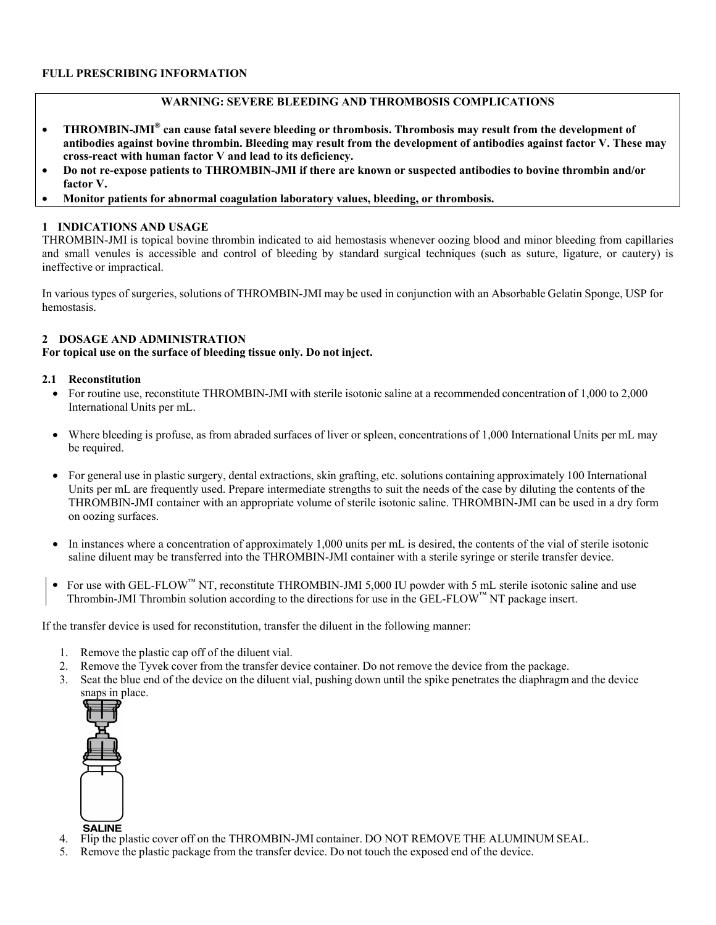## **FULL PRESCRIBING INFORMATION**

## **WARNING: SEVERE BLEEDING AND THROMBOSIS COMPLICATIONS**

- **THROMBIN-JMI® can cause fatal severe bleeding or thrombosis. Thrombosis may result from the development of antibodies against bovine thrombin. Bleeding may result from the development of antibodies against factor V. These may cross-react with human factor V and lead to its deficiency.**
- **Do not re-expose patients to THROMBIN-JMI if there are known or suspected antibodies to bovine thrombin and/or factor V.**
- **Monitor patients for abnormal coagulation laboratory values, bleeding, or thrombosis.**

## **1 INDICATIONS AND USAGE**

THROMBIN-JMI is topical bovine thrombin indicated to aid hemostasis whenever oozing blood and minor bleeding from capillaries and small venules is accessible and control of bleeding by standard surgical techniques (such as suture, ligature, or cautery) is ineffective or impractical.

In various types of surgeries, solutions of THROMBIN-JMI may be used in conjunction with an Absorbable Gelatin Sponge, USP for hemostasis.

## **2 DOSAGE AND ADMINISTRATION**

**For topical use on the surface of bleeding tissue only. Do not inject.** 

### **2.1 Reconstitution**

- For routine use, reconstitute THROMBIN-JMI with sterile isotonic saline at a recommended concentration of 1,000 to 2,000 International Units per mL.
- Where bleeding is profuse, as from abraded surfaces of liver or spleen, concentrations of 1,000 International Units per mL may be required.
- For general use in plastic surgery, dental extractions, skin grafting, etc. solutions containing approximately 100 International Units per mL are frequently used. Prepare intermediate strengths to suit the needs of the case by diluting the contents of the THROMBIN-JMI container with an appropriate volume of sterile isotonic saline. THROMBIN-JMI can be used in a dry form on oozing surfaces.
- In instances where a concentration of approximately 1,000 units per mL is desired, the contents of the vial of sterile isotonic saline diluent may be transferred into the THROMBIN-JMI container with a sterile syringe or sterile transfer device.
- For use with GEL-FLOW™ NT, reconstitute THROMBIN-JMI 5,000 IU powder with 5 mL sterile isotonic saline and use Thrombin-JMI Thrombin solution according to the directions for use in the GEL-FLOW<sup>™</sup> NT package insert.

If the transfer device is used for reconstitution, transfer the diluent in the following manner:

- 1. Remove the plastic cap off of the diluent vial.
- 2. Remove the Tyvek cover from the transfer device container. Do not remove the device from the package.
- 3. Seat the blue end of the device on the diluent vial, pushing down until the spike penetrates the diaphragm and the device snaps in place.



- **SALINE**
- 4. Flip the plastic cover off on the THROMBIN-JMI container. DO NOT REMOVE THE ALUMINUM SEAL.
- 5. Remove the plastic package from the transfer device. Do not touch the exposed end of the device.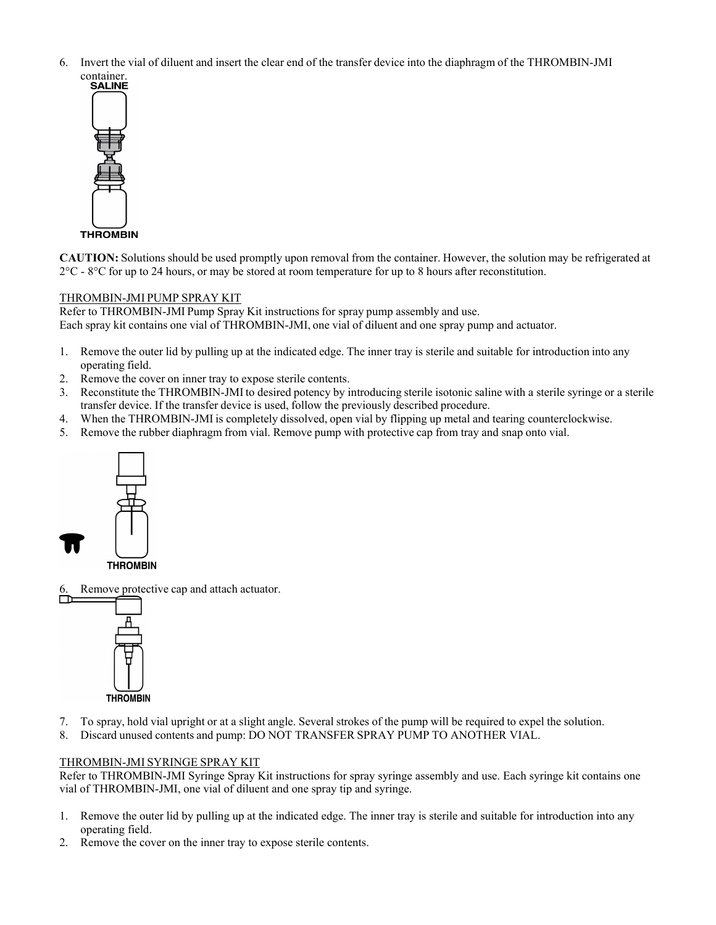6. Invert the vial of diluent and insert the clear end of the transfer device into the diaphragm of the THROMBIN-JMI



**CAUTION:** Solutions should be used promptly upon removal from the container. However, the solution may be refrigerated at 2°C - 8°C for up to 24 hours, or may be stored at room temperature for up to 8 hours after reconstitution.

# THROMBIN-JMI PUMP SPRAY KIT

Refer to THROMBIN-JMI Pump Spray Kit instructions for spray pump assembly and use. Each spray kit contains one vial of THROMBIN-JMI, one vial of diluent and one spray pump and actuator.

- 1. Remove the outer lid by pulling up at the indicated edge. The inner tray is sterile and suitable for introduction into any operating field.
- 2. Remove the cover on inner tray to expose sterile contents.
- 3. Reconstitute the THROMBIN-JMI to desired potency by introducing sterile isotonic saline with a sterile syringe or a sterile transfer device. If the transfer device is used, follow the previously described procedure.
- 4. When the THROMBIN-JMI is completely dissolved, open vial by flipping up metal and tearing counterclockwise.
- 5. Remove the rubber diaphragm from vial. Remove pump with protective cap from tray and snap onto vial.



Remove protective cap and attach actuator.



- 7. To spray, hold vial upright or at a slight angle. Several strokes of the pump will be required to expel the solution.
- 8. Discard unused contents and pump: DO NOT TRANSFER SPRAY PUMP TO ANOTHER VIAL.

## THROMBIN-JMI SYRINGE SPRAY KIT

Refer to THROMBIN-JMI Syringe Spray Kit instructions for spray syringe assembly and use. Each syringe kit contains one vial of THROMBIN-JMI, one vial of diluent and one spray tip and syringe.

- 1. Remove the outer lid by pulling up at the indicated edge. The inner tray is sterile and suitable for introduction into any operating field.
- 2. Remove the cover on the inner tray to expose sterile contents.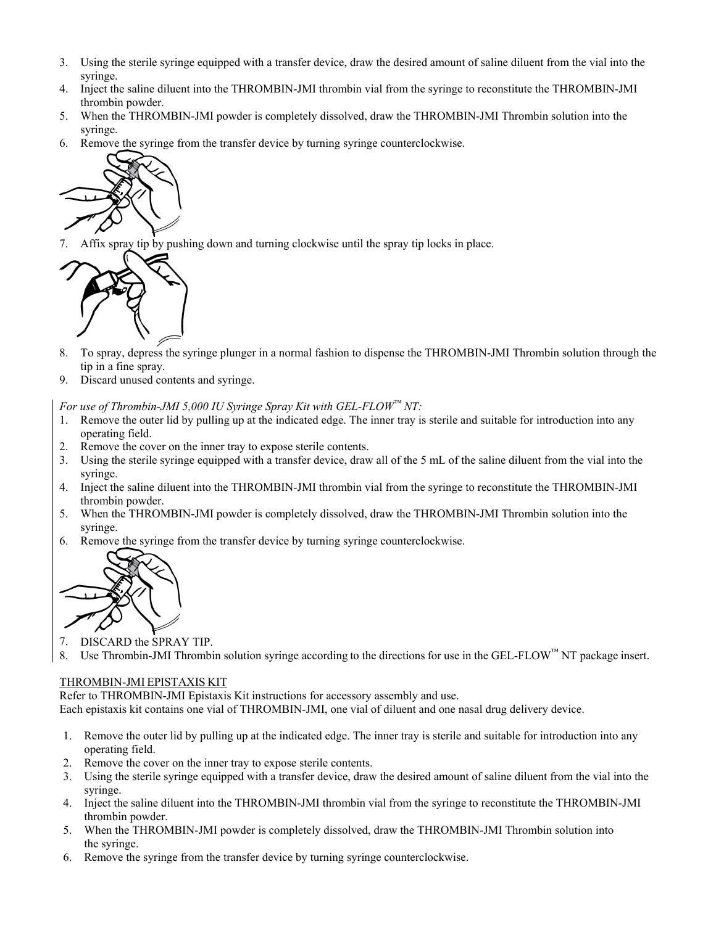- 3. Using the sterile syringe equipped with a transfer device, draw the desired amount of saline diluent from the vial into the syringe.
- 4. Inject the saline diluent into the THROMBIN-JMI thrombin vial from the syringe to reconstitute the THROMBIN-JMI thrombin powder.
- 5. When the THROMBIN-JMI powder is completely dissolved, draw the THROMBIN-JMI Thrombin solution into the syringe.
- 6. Remove the syringe from the transfer device by turning syringe counterclockwise.



7. Affix spray tip by pushing down and turning clockwise until the spray tip locks in place.



- 8. To spray, depress the syringe plunger in a normal fashion to dispense the THROMBIN-JMI Thrombin solution through the tip in a fine spray.
- 9. Discard unused contents and syringe.

*For use of Thrombin-JMI 5,000 IU Syringe Spray Kit with GEL-FLOW™ NT:* 

- 1. Remove the outer lid by pulling up at the indicated edge. The inner tray is sterile and suitable for introduction into any operating field.
- 2. Remove the cover on the inner tray to expose sterile contents.
- 3. Using the sterile syringe equipped with a transfer device, draw all of the 5 mL of the saline diluent from the vial into the syringe.
- 4. Inject the saline diluent into the THROMBIN-JMI thrombin vial from the syringe to reconstitute the THROMBIN-JMI thrombin powder.
- 5. When the THROMBIN-JMI powder is completely dissolved, draw the THROMBIN-JMI Thrombin solution into the syringe.
- 6. Remove the syringe from the transfer device by turning syringe counterclockwise.



- 7. DISCARD the SPRAY TIP.
- 8. Use Thrombin-JMI Thrombin solution syringe according to the directions for use in the GEL-FLOW $^{\text{TM}}$  NT package insert.

#### THROMBIN-JMI EPISTAXIS KIT

Refer to THROMBIN-JMI Epistaxis Kit instructions for accessory assembly and use. Each epistaxis kit contains one vial of THROMBIN-JMI, one vial of diluent and one nasal drug delivery device.

- 1. Remove the outer lid by pulling up at the indicated edge. The inner tray is sterile and suitable for introduction into any operating field.
- 2. Remove the cover on the inner tray to expose sterile contents.
- 3. Using the sterile syringe equipped with a transfer device, draw the desired amount of saline diluent from the vial into the syringe.
- 4. Inject the saline diluent into the THROMBIN-JMI thrombin vial from the syringe to reconstitute the THROMBIN-JMI thrombin powder.
- 5. When the THROMBIN-JMI powder is completely dissolved, draw the THROMBIN-JMI Thrombin solution into the syringe.
- 6. Remove the syringe from the transfer device by turning syringe counterclockwise.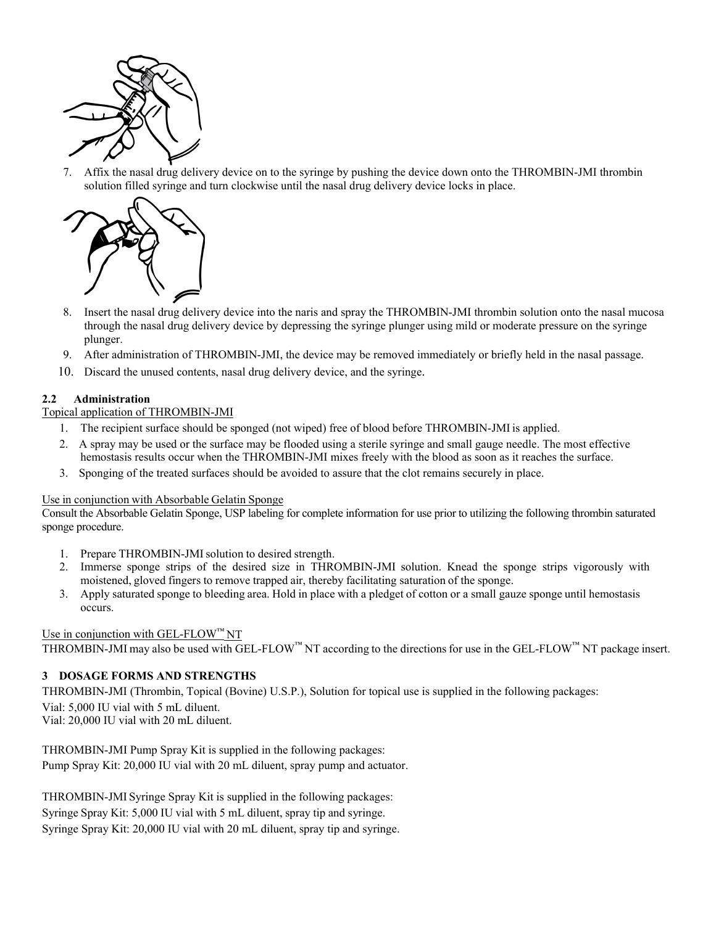

7. Affix the nasal drug delivery device on to the syringe by pushing the device down onto the THROMBIN-JMI thrombin solution filled syringe and turn clockwise until the nasal drug delivery device locks in place.



- 8. Insert the nasal drug delivery device into the naris and spray the THROMBIN-JMI thrombin solution onto the nasal mucosa through the nasal drug delivery device by depressing the syringe plunger using mild or moderate pressure on the syringe plunger.
- 9. After administration of THROMBIN-JMI, the device may be removed immediately or briefly held in the nasal passage.
- 10. Discard the unused contents, nasal drug delivery device, and the syringe.

# **2.2 Administration**

## Topical application of THROMBIN-JMI

- 1. The recipient surface should be sponged (not wiped) free of blood before THROMBIN-JMIis applied.
- 2. A spray may be used or the surface may be flooded using a sterile syringe and small gauge needle. The most effective hemostasis results occur when the THROMBIN-JMI mixes freely with the blood as soon as it reaches the surface.
- 3. Sponging of the treated surfaces should be avoided to assure that the clot remains securely in place.

## Use in conjunction with Absorbable Gelatin Sponge

Consult the Absorbable Gelatin Sponge, USP labeling for complete information for use prior to utilizing the following thrombin saturated sponge procedure.

- 1. Prepare THROMBIN-JMI solution to desired strength.
- 2. Immerse sponge strips of the desired size in THROMBIN-JMI solution. Knead the sponge strips vigorously with moistened, gloved fingers to remove trapped air, thereby facilitating saturation of the sponge.
- 3. Apply saturated sponge to bleeding area. Hold in place with a pledget of cotton or a small gauze sponge until hemostasis occurs.

## Use in conjunction with GEL-FLOW™ NT

THROMBIN-JMI may also be used with GEL-FLOW<sup>™</sup> NT according to the directions for use in the GEL-FLOW<sup>™</sup> NT package insert.

## **3 DOSAGE FORMS AND STRENGTHS**

THROMBIN-JMI (Thrombin, Topical (Bovine) U.S.P.), Solution for topical use is supplied in the following packages: Vial: 5,000 IU vial with 5 mL diluent. Vial: 20,000 IU vial with 20 mL diluent.

THROMBIN-JMI Pump Spray Kit is supplied in the following packages: Pump Spray Kit: 20,000 IU vial with 20 mL diluent, spray pump and actuator.

THROMBIN-JMI Syringe Spray Kit is supplied in the following packages: Syringe Spray Kit: 5,000 IU vial with 5 mL diluent, spray tip and syringe. Syringe Spray Kit: 20,000 IU vial with 20 mL diluent, spray tip and syringe.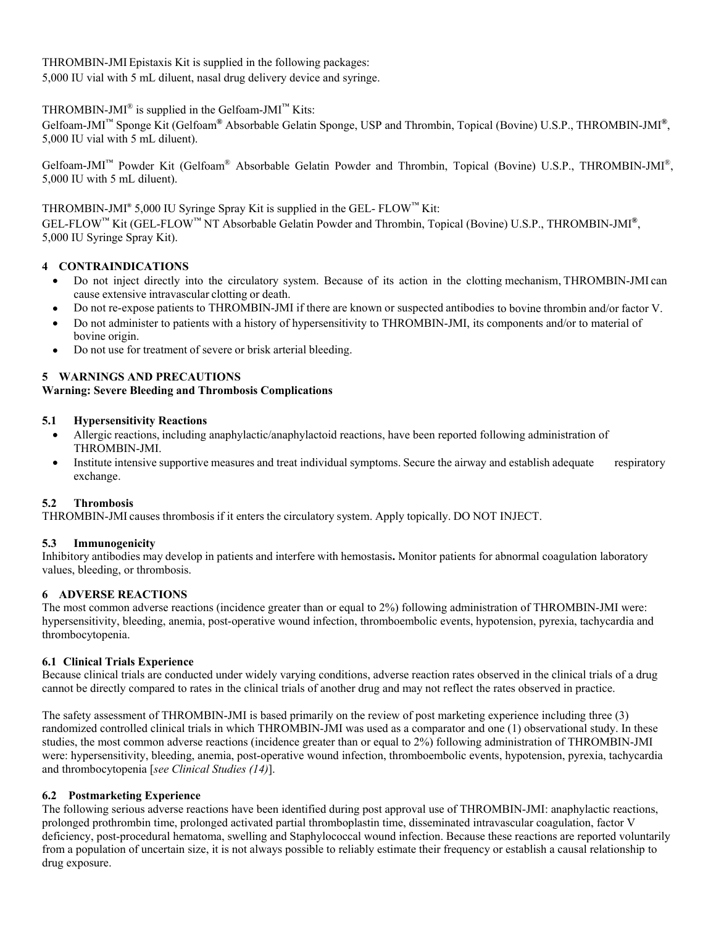THROMBIN-JMI Epistaxis Kit is supplied in the following packages:

5,000 IU vial with 5 mL diluent, nasal drug delivery device and syringe.

# THROMBIN-JMI<sup>®</sup> is supplied in the Gelfoam-JMI<sup>™</sup> Kits:

Gelfoam-JMI™ Sponge Kit (Gelfoam**®** Absorbable Gelatin Sponge, USP and Thrombin, Topical (Bovine) U.S.P., THROMBIN-JMI**®**, 5,000 IU vial with 5 mL diluent).

Gelfoam-JMI™ Powder Kit (Gelfoam® Absorbable Gelatin Powder and Thrombin, Topical (Bovine) U.S.P., THROMBIN-JMI®, 5,000 IU with 5 mL diluent).

# THROMBIN-JMI**®** 5,000 IU Syringe Spray Kit is supplied in the GEL- FLOW™ Kit:

GEL-FLOW™ Kit (GEL-FLOW™ NT Absorbable Gelatin Powder and Thrombin, Topical (Bovine) U.S.P., THROMBIN-JMI**®**, 5,000 IU Syringe Spray Kit).

# **4 CONTRAINDICATIONS**

- Do not inject directly into the circulatory system. Because of its action in the clotting mechanism, THROMBIN-JMI can cause extensive intravascular clotting or death.
- Do not re-expose patients to THROMBIN-JMI if there are known or suspected antibodies to bovine thrombin and/or factor V.
- Do not administer to patients with a history of hypersensitivity to THROMBIN-JMI, its components and/or to material of bovine origin.
- Do not use for treatment of severe or brisk arterial bleeding.

# **5 WARNINGS AND PRECAUTIONS**

# **Warning: Severe Bleeding and Thrombosis Complications**

# **5.1 Hypersensitivity Reactions**

- Allergic reactions, including anaphylactic/anaphylactoid reactions, have been reported following administration of THROMBIN-JMI.
- Institute intensive supportive measures and treat individual symptoms. Secure the airway and establish adequate respiratory exchange.

# **5.2 Thrombosis**

THROMBIN-JMI causes thrombosis if it enters the circulatory system. Apply topically. DO NOT INJECT.

# **5.3 Immunogenicity**

Inhibitory antibodies may develop in patients and interfere with hemostasis**.** Monitor patients for abnormal coagulation laboratory values, bleeding, or thrombosis.

# **6 ADVERSE REACTIONS**

The most common adverse reactions (incidence greater than or equal to 2%) following administration of THROMBIN-JMI were: hypersensitivity, bleeding, anemia, post-operative wound infection, thromboembolic events, hypotension, pyrexia, tachycardia and thrombocytopenia.

# **6.1 Clinical Trials Experience**

Because clinical trials are conducted under widely varying conditions, adverse reaction rates observed in the clinical trials of a drug cannot be directly compared to rates in the clinical trials of another drug and may not reflect the rates observed in practice.

The safety assessment of THROMBIN-JMI is based primarily on the review of post marketing experience including three (3) randomized controlled clinical trials in which THROMBIN-JMI was used as a comparator and one (1) observational study. In these studies, the most common adverse reactions (incidence greater than or equal to 2%) following administration of THROMBIN-JMI were: hypersensitivity, bleeding, anemia, post-operative wound infection, thromboembolic events, hypotension, pyrexia, tachycardia and thrombocytopenia [*see Clinical Studies (14)*].

## **6.2 Postmarketing Experience**

The following serious adverse reactions have been identified during post approval use of THROMBIN-JMI: anaphylactic reactions, prolonged prothrombin time, prolonged activated partial thromboplastin time, disseminated intravascular coagulation, factor V deficiency, post-procedural hematoma, swelling and Staphylococcal wound infection. Because these reactions are reported voluntarily from a population of uncertain size, it is not always possible to reliably estimate their frequency or establish a causal relationship to drug exposure.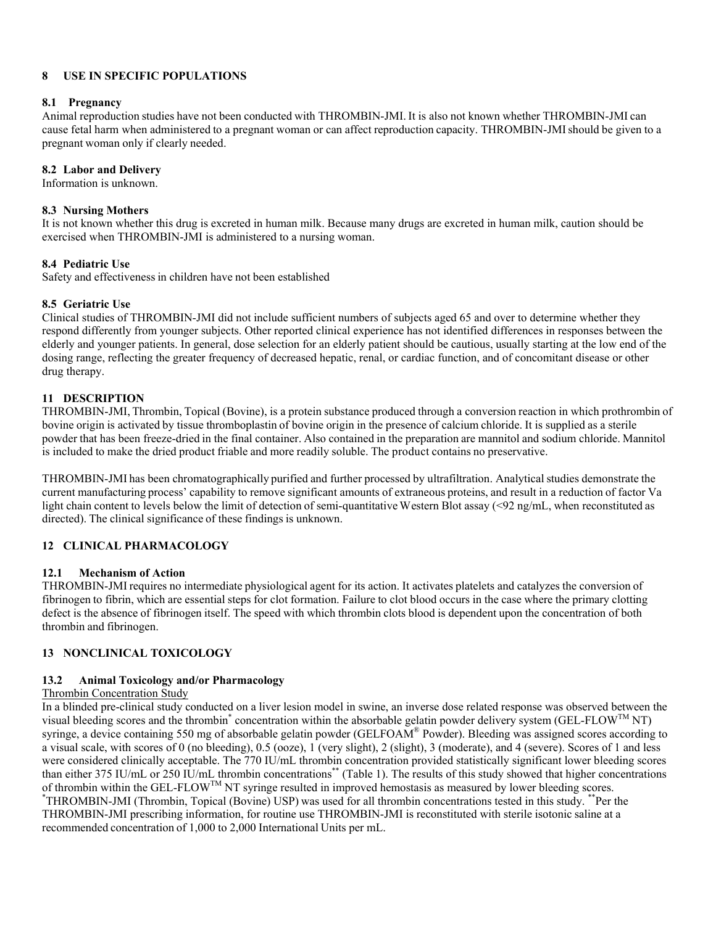# **8 USE IN SPECIFIC POPULATIONS**

## **8.1 Pregnancy**

Animal reproduction studies have not been conducted with THROMBIN-JMI. It is also not known whether THROMBIN-JMI can cause fetal harm when administered to a pregnant woman or can affect reproduction capacity. THROMBIN-JMI should be given to a pregnant woman only if clearly needed.

# **8.2 Labor and Delivery**

Information is unknown.

# **8.3 Nursing Mothers**

It is not known whether this drug is excreted in human milk. Because many drugs are excreted in human milk, caution should be exercised when THROMBIN-JMI is administered to a nursing woman.

# **8.4 Pediatric Use**

Safety and effectiveness in children have not been established

# **8.5 Geriatric Use**

Clinical studies of THROMBIN-JMI did not include sufficient numbers of subjects aged 65 and over to determine whether they respond differently from younger subjects. Other reported clinical experience has not identified differences in responses between the elderly and younger patients. In general, dose selection for an elderly patient should be cautious, usually starting at the low end of the dosing range, reflecting the greater frequency of decreased hepatic, renal, or cardiac function, and of concomitant disease or other drug therapy.

# **11 DESCRIPTION**

THROMBIN-JMI, Thrombin, Topical (Bovine), is a protein substance produced through a conversion reaction in which prothrombin of bovine origin is activated by tissue thromboplastin of bovine origin in the presence of calcium chloride. It is supplied as a sterile powder that has been freeze-dried in the final container. Also contained in the preparation are mannitol and sodium chloride. Mannitol is included to make the dried product friable and more readily soluble. The product contains no preservative.

THROMBIN-JMI has been chromatographically purified and further processed by ultrafiltration. Analytical studies demonstrate the current manufacturing process' capability to remove significant amounts of extraneous proteins, and result in a reduction of factor Va light chain content to levels below the limit of detection of semi-quantitative Western Blot assay (<92 ng/mL, when reconstituted as directed). The clinical significance of these findings is unknown.

# **12 CLINICAL PHARMACOLOGY**

## **12.1 Mechanism of Action**

THROMBIN-JMI requires no intermediate physiological agent for its action. It activates platelets and catalyzes the conversion of fibrinogen to fibrin, which are essential steps for clot formation. Failure to clot blood occurs in the case where the primary clotting defect is the absence of fibrinogen itself. The speed with which thrombin clots blood is dependent upon the concentration of both thrombin and fibrinogen.

# **13 NONCLINICAL TOXICOLOGY**

## **13.2 Animal Toxicology and/or Pharmacology**

## Thrombin Concentration Study

In a blinded pre-clinical study conducted on a liver lesion model in swine, an inverse dose related response was observed between the visual bleeding scores and the thrombin<sup>\*</sup> concentration within the absorbable gelatin powder delivery system (GEL-FLOW<sup>TM</sup> NT) syringe, a device containing 550 mg of absorbable gelatin powder (GELFOAM® Powder). Bleeding was assigned scores according to a visual scale, with scores of 0 (no bleeding), 0.5 (ooze), 1 (very slight), 2 (slight), 3 (moderate), and 4 (severe). Scores of 1 and less were considered clinically acceptable. The 770 IU/mL thrombin concentration provided statistically significant lower bleeding scores than either 375 IU/mL or 250 IU/mL thrombin concentrations\*\* (Table 1). The results of this study showed that higher concentrations of thrombin within the GEL-FLOW<sup>TM</sup> NT syringe resulted in improved hemostasis as measured by lower bleeding scores. THROMBIN-JMI (Thrombin, Topical (Bovine) USP) was used for all thrombin concentrations tested in this study. \*\*Per the THROMBIN-JMI prescribing information, for routine use THROMBIN-JMI is reconstituted with sterile isotonic saline at a recommended concentration of 1,000 to 2,000 International Units per mL.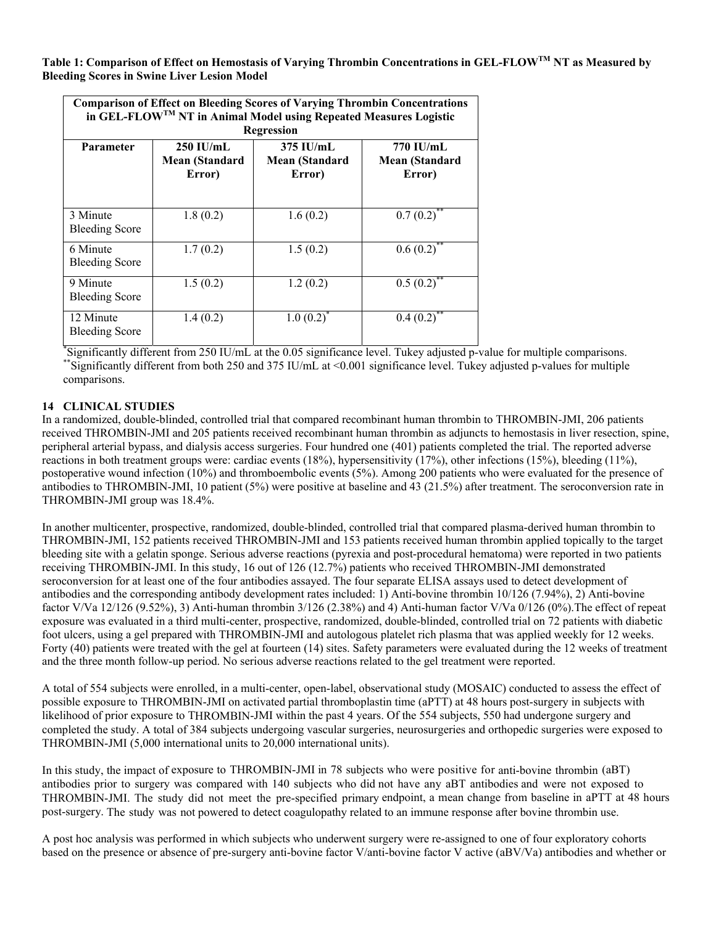**Table 1: Comparison of Effect on Hemostasis of Varying Thrombin Concentrations in GEL-FLOWTM NT as Measured by Bleeding Scores in Swine Liver Lesion Model** 

| <b>Comparison of Effect on Bleeding Scores of Varying Thrombin Concentrations</b><br>in GEL-FLOW <sup>TM</sup> NT in Animal Model using Repeated Measures Logistic<br>Regression |                                         |                                         |                                       |
|----------------------------------------------------------------------------------------------------------------------------------------------------------------------------------|-----------------------------------------|-----------------------------------------|---------------------------------------|
| <b>Parameter</b>                                                                                                                                                                 | $250$ IU/mL<br>Mean (Standard<br>Error) | $375$ IU/mL<br>Mean (Standard<br>Error) | 770 IU/mL<br>Mean (Standard<br>Error) |
| 3 Minute<br><b>Bleeding Score</b>                                                                                                                                                | 1.8(0.2)                                | 1.6(0.2)                                | $0.7\overline{(0.2)}^{**}$            |
| 6 Minute<br><b>Bleeding Score</b>                                                                                                                                                | 1.7(0.2)                                | 1.5(0.2)                                | $0.6(0.2)^{**}$                       |
| 9 Minute<br><b>Bleeding Score</b>                                                                                                                                                | 1.5(0.2)                                | 1.2(0.2)                                | $0.5(0.2)^{**}$                       |
| 12 Minute<br><b>Bleeding Score</b>                                                                                                                                               | 1.4(0.2)                                | 1.0(0.2)                                | 0.4(0.2)                              |

Significantly different from 250 IU/mL at the 0.05 significance level. Tukey adjusted p-value for multiple comparisons. Significantly different from both 250 and 375 IU/mL at <0.001 significance level. Tukey adjusted p-values for multiple comparisons.

# **14 CLINICAL STUDIES**

In a randomized, double-blinded, controlled trial that compared recombinant human thrombin to THROMBIN-JMI, 206 patients received THROMBIN-JMI and 205 patients received recombinant human thrombin as adjuncts to hemostasis in liver resection, spine, peripheral arterial bypass, and dialysis access surgeries. Four hundred one (401) patients completed the trial. The reported adverse reactions in both treatment groups were: cardiac events (18%), hypersensitivity (17%), other infections (15%), bleeding (11%), postoperative wound infection (10%) and thromboembolic events (5%). Among 200 patients who were evaluated for the presence of antibodies to THROMBIN-JMI, 10 patient (5%) were positive at baseline and 43 (21.5%) after treatment. The seroconversion rate in THROMBIN-JMI group was 18.4%.

In another multicenter, prospective, randomized, double-blinded, controlled trial that compared plasma-derived human thrombin to THROMBIN-JMI, 152 patients received THROMBIN-JMI and 153 patients received human thrombin applied topically to the target bleeding site with a gelatin sponge. Serious adverse reactions (pyrexia and post-procedural hematoma) were reported in two patients receiving THROMBIN-JMI. In this study, 16 out of 126 (12.7%) patients who received THROMBIN-JMI demonstrated seroconversion for at least one of the four antibodies assayed. The four separate ELISA assays used to detect development of antibodies and the corresponding antibody development rates included: 1) Anti-bovine thrombin 10/126 (7.94%), 2) Anti-bovine factor V/Va 12/126 (9.52%), 3) Anti-human thrombin 3/126 (2.38%) and 4) Anti-human factor V/Va 0/126 (0%).The effect of repeat exposure was evaluated in a third multi-center, prospective, randomized, double-blinded, controlled trial on 72 patients with diabetic foot ulcers, using a gel prepared with THROMBIN-JMI and autologous platelet rich plasma that was applied weekly for 12 weeks. Forty (40) patients were treated with the gel at fourteen (14) sites. Safety parameters were evaluated during the 12 weeks of treatment and the three month follow-up period. No serious adverse reactions related to the gel treatment were reported.

A total of 554 subjects were enrolled, in a multi-center, open-label, observational study (MOSAIC) conducted to assess the effect of possible exposure to THROMBIN-JMI on activated partial thromboplastin time (aPTT) at 48 hours post-surgery in subjects with likelihood of prior exposure to THROMBIN-JMI within the past 4 years. Of the 554 subjects, 550 had undergone surgery and completed the study. A total of 384 subjects undergoing vascular surgeries, neurosurgeries and orthopedic surgeries were exposed to THROMBIN-JMI (5,000 international units to 20,000 international units).

In this study, the impact of exposure to THROMBIN-JMI in 78 subjects who were positive for anti-bovine thrombin (aBT) antibodies prior to surgery was compared with 140 subjects who did not have any aBT antibodies and were not exposed to THROMBIN-JMI. The study did not meet the pre-specified primary endpoint, a mean change from baseline in aPTT at 48 hours post-surgery. The study was not powered to detect coagulopathy related to an immune response after bovine thrombin use.

A post hoc analysis was performed in which subjects who underwent surgery were re-assigned to one of four exploratory cohorts based on the presence or absence of pre-surgery anti-bovine factor V/anti-bovine factor V active (aBV/Va) antibodies and whether or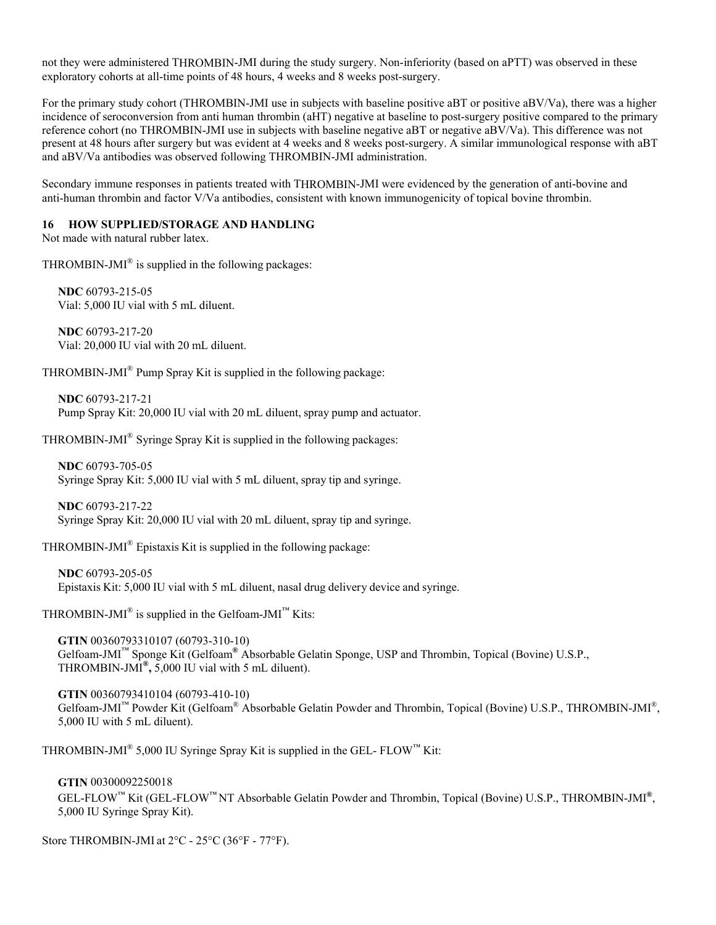not they were administered THROMBIN-JMI during the study surgery. Non-inferiority (based on aPTT) was observed in these exploratory cohorts at all-time points of 48 hours, 4 weeks and 8 weeks post-surgery.

For the primary study cohort (THROMBIN-JMI use in subjects with baseline positive aBT or positive aBV/Va), there was a higher incidence of seroconversion from anti human thrombin (aHT) negative at baseline to post-surgery positive compared to the primary reference cohort (no THROMBIN-JMI use in subjects with baseline negative aBT or negative aBV/Va). This difference was not present at 48 hours after surgery but was evident at 4 weeks and 8 weeks post-surgery. A similar immunological response with aBT and aBV/Va antibodies was observed following THROMBIN-JMI administration.

Secondary immune responses in patients treated with THROMBIN-JMI were evidenced by the generation of anti-bovine and anti-human thrombin and factor V/Va antibodies, consistent with known immunogenicity of topical bovine thrombin.

#### **16 HOW SUPPLIED/STORAGE AND HANDLING**

Not made with natural rubber latex.

THROMBIN-JMI $^{\circ}$  is supplied in the following packages:

**NDC** 60793-215-05 Vial: 5,000 IU vial with 5 mL diluent.

**NDC** 60793-217-20 Vial: 20,000 IU vial with 20 mL diluent.

THROMBIN-JMI® Pump Spray Kit is supplied in the following package:

**NDC** 60793-217-21 Pump Spray Kit: 20,000 IU vial with 20 mL diluent, spray pump and actuator.

THROMBIN-JMI® Syringe Spray Kit is supplied in the following packages:

**NDC** 60793-705-05 Syringe Spray Kit: 5,000 IU vial with 5 mL diluent, spray tip and syringe.

**NDC** 60793-217-22 Syringe Spray Kit: 20,000 IU vial with 20 mL diluent, spray tip and syringe.

THROMBIN-JMI® Epistaxis Kit is supplied in the following package:

**NDC** 60793-205-05 Epistaxis Kit: 5,000 IU vial with 5 mL diluent, nasal drug delivery device and syringe.

THROMBIN-JMI<sup>®</sup> is supplied in the Gelfoam-JMI<sup>™</sup> Kits:

**GTIN** 00360793310107 (60793-310-10) Gelfoam-JMI™ Sponge Kit (Gelfoam**®** Absorbable Gelatin Sponge, USP and Thrombin, Topical (Bovine) U.S.P., THROMBIN-JMI**®,** 5,000 IU vial with 5 mL diluent).

**GTIN** 00360793410104 (60793-410-10) Gelfoam-JMI™ Powder Kit (Gelfoam® Absorbable Gelatin Powder and Thrombin, Topical (Bovine) U.S.P., THROMBIN-JMI®, 5,000 IU with 5 mL diluent).

THROMBIN-JMI® 5,000 IU Syringe Spray Kit is supplied in the GEL-  $FLOW^M$  Kit:

**GTIN** 00300092250018

GEL-FLOW™ Kit (GEL-FLOW™ NT Absorbable Gelatin Powder and Thrombin, Topical (Bovine) U.S.P., THROMBIN-JMI**®**, 5,000 IU Syringe Spray Kit).

Store THROMBIN-JMI at 2°C - 25°C (36°F - 77°F).